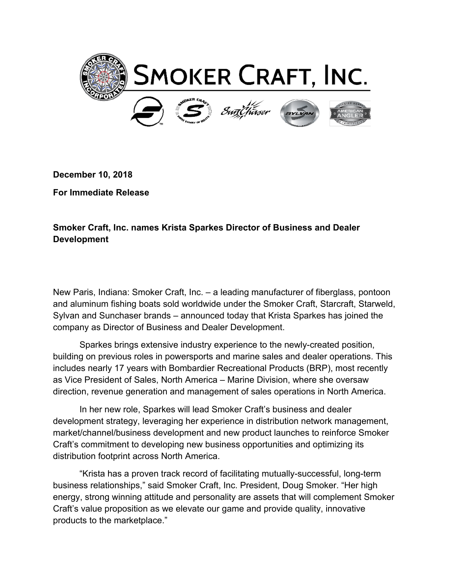

**December 10, 2018**

**For Immediate Release**

**Smoker Craft, Inc. names Krista Sparkes Director of Business and Dealer Development**

New Paris, Indiana: Smoker Craft, Inc. – a leading manufacturer of fiberglass, pontoon and aluminum fishing boats sold worldwide under the Smoker Craft, Starcraft, Starweld, Sylvan and Sunchaser brands – announced today that Krista Sparkes has joined the company as Director of Business and Dealer Development.

Sparkes brings extensive industry experience to the newly-created position, building on previous roles in powersports and marine sales and dealer operations. This includes nearly 17 years with Bombardier Recreational Products (BRP), most recently as Vice President of Sales, North America – Marine Division, where she oversaw direction, revenue generation and management of sales operations in North America.

In her new role, Sparkes will lead Smoker Craft's business and dealer development strategy, leveraging her experience in distribution network management, market/channel/business development and new product launches to reinforce Smoker Craft's commitment to developing new business opportunities and optimizing its distribution footprint across North America.

"Krista has a proven track record of facilitating mutually-successful, long-term business relationships," said Smoker Craft, Inc. President, Doug Smoker. "Her high energy, strong winning attitude and personality are assets that will complement Smoker Craft's value proposition as we elevate our game and provide quality, innovative products to the marketplace."